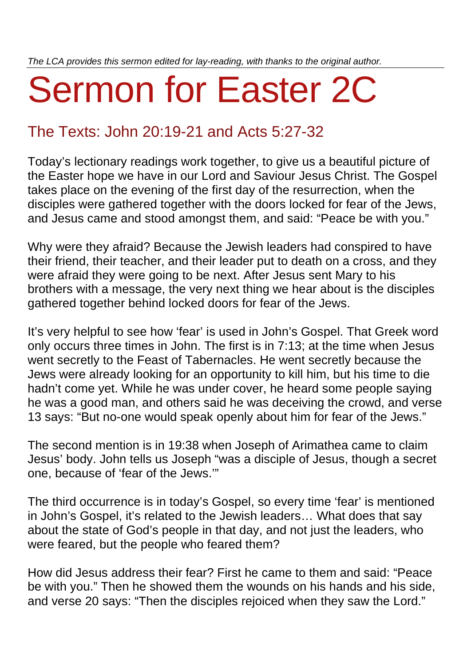*The LCA provides this sermon edited for lay-reading, with thanks to the original author.*

## Sermon for Easter 2C

## The Texts: John 20:19-21 and Acts 5:27-32

Today's lectionary readings work together, to give us a beautiful picture of the Easter hope we have in our Lord and Saviour Jesus Christ. The Gospel takes place on the evening of the first day of the resurrection, when the disciples were gathered together with the doors locked for fear of the Jews, and Jesus came and stood amongst them, and said: "Peace be with you."

Why were they afraid? Because the Jewish leaders had conspired to have their friend, their teacher, and their leader put to death on a cross, and they were afraid they were going to be next. After Jesus sent Mary to his brothers with a message, the very next thing we hear about is the disciples gathered together behind locked doors for fear of the Jews.

It's very helpful to see how 'fear' is used in John's Gospel. That Greek word only occurs three times in John. The first is in 7:13; at the time when Jesus went secretly to the Feast of Tabernacles. He went secretly because the Jews were already looking for an opportunity to kill him, but his time to die hadn't come yet. While he was under cover, he heard some people saying he was a good man, and others said he was deceiving the crowd, and verse 13 says: "But no-one would speak openly about him for fear of the Jews."

The second mention is in 19:38 when Joseph of Arimathea came to claim Jesus' body. John tells us Joseph "was a disciple of Jesus, though a secret one, because of 'fear of the Jews.'"

The third occurrence is in today's Gospel, so every time 'fear' is mentioned in John's Gospel, it's related to the Jewish leaders… What does that say about the state of God's people in that day, and not just the leaders, who were feared, but the people who feared them?

How did Jesus address their fear? First he came to them and said: "Peace be with you." Then he showed them the wounds on his hands and his side, and verse 20 says: "Then the disciples rejoiced when they saw the Lord."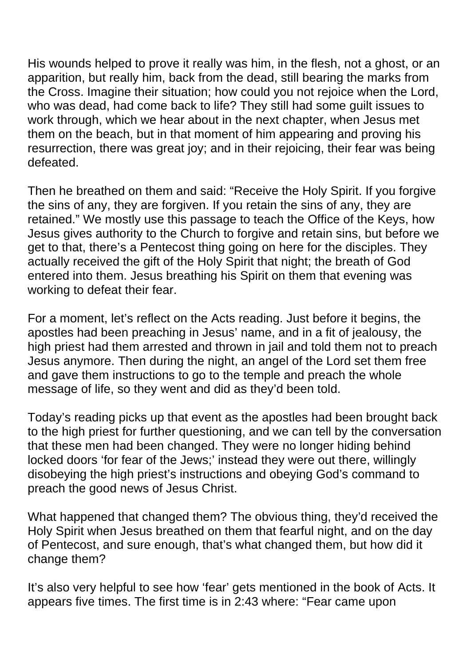His wounds helped to prove it really was him, in the flesh, not a ghost, or an apparition, but really him, back from the dead, still bearing the marks from the Cross. Imagine their situation; how could you not rejoice when the Lord, who was dead, had come back to life? They still had some guilt issues to work through, which we hear about in the next chapter, when Jesus met them on the beach, but in that moment of him appearing and proving his resurrection, there was great joy; and in their rejoicing, their fear was being defeated.

Then he breathed on them and said: "Receive the Holy Spirit. If you forgive the sins of any, they are forgiven. If you retain the sins of any, they are retained." We mostly use this passage to teach the Office of the Keys, how Jesus gives authority to the Church to forgive and retain sins, but before we get to that, there's a Pentecost thing going on here for the disciples. They actually received the gift of the Holy Spirit that night; the breath of God entered into them. Jesus breathing his Spirit on them that evening was working to defeat their fear.

For a moment, let's reflect on the Acts reading. Just before it begins, the apostles had been preaching in Jesus' name, and in a fit of jealousy, the high priest had them arrested and thrown in jail and told them not to preach Jesus anymore. Then during the night, an angel of the Lord set them free and gave them instructions to go to the temple and preach the whole message of life, so they went and did as they'd been told.

Today's reading picks up that event as the apostles had been brought back to the high priest for further questioning, and we can tell by the conversation that these men had been changed. They were no longer hiding behind locked doors 'for fear of the Jews;' instead they were out there, willingly disobeying the high priest's instructions and obeying God's command to preach the good news of Jesus Christ.

What happened that changed them? The obvious thing, they'd received the Holy Spirit when Jesus breathed on them that fearful night, and on the day of Pentecost, and sure enough, that's what changed them, but how did it change them?

It's also very helpful to see how 'fear' gets mentioned in the book of Acts. It appears five times. The first time is in 2:43 where: "Fear came upon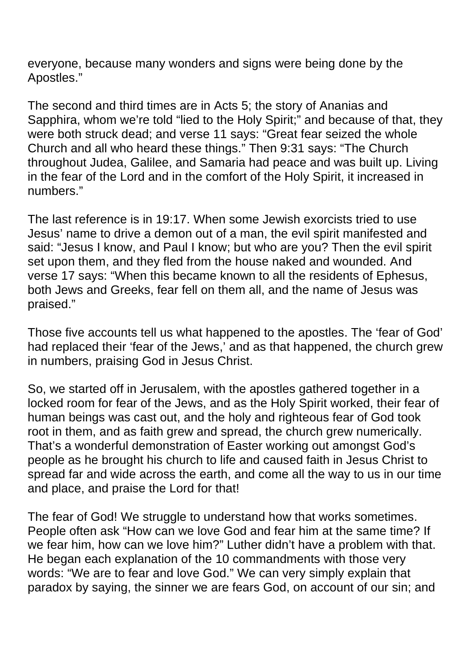everyone, because many wonders and signs were being done by the Apostles."

The second and third times are in Acts 5; the story of Ananias and Sapphira, whom we're told "lied to the Holy Spirit;" and because of that, they were both struck dead; and verse 11 says: "Great fear seized the whole Church and all who heard these things." Then 9:31 says: "The Church throughout Judea, Galilee, and Samaria had peace and was built up. Living in the fear of the Lord and in the comfort of the Holy Spirit, it increased in numbers."

The last reference is in 19:17. When some Jewish exorcists tried to use Jesus' name to drive a demon out of a man, the evil spirit manifested and said: "Jesus I know, and Paul I know; but who are you? Then the evil spirit set upon them, and they fled from the house naked and wounded. And verse 17 says: "When this became known to all the residents of Ephesus, both Jews and Greeks, fear fell on them all, and the name of Jesus was praised."

Those five accounts tell us what happened to the apostles. The 'fear of God' had replaced their 'fear of the Jews,' and as that happened, the church grew in numbers, praising God in Jesus Christ.

So, we started off in Jerusalem, with the apostles gathered together in a locked room for fear of the Jews, and as the Holy Spirit worked, their fear of human beings was cast out, and the holy and righteous fear of God took root in them, and as faith grew and spread, the church grew numerically. That's a wonderful demonstration of Easter working out amongst God's people as he brought his church to life and caused faith in Jesus Christ to spread far and wide across the earth, and come all the way to us in our time and place, and praise the Lord for that!

The fear of God! We struggle to understand how that works sometimes. People often ask "How can we love God and fear him at the same time? If we fear him, how can we love him?" Luther didn't have a problem with that. He began each explanation of the 10 commandments with those very words: "We are to fear and love God." We can very simply explain that paradox by saying, the sinner we are fears God, on account of our sin; and